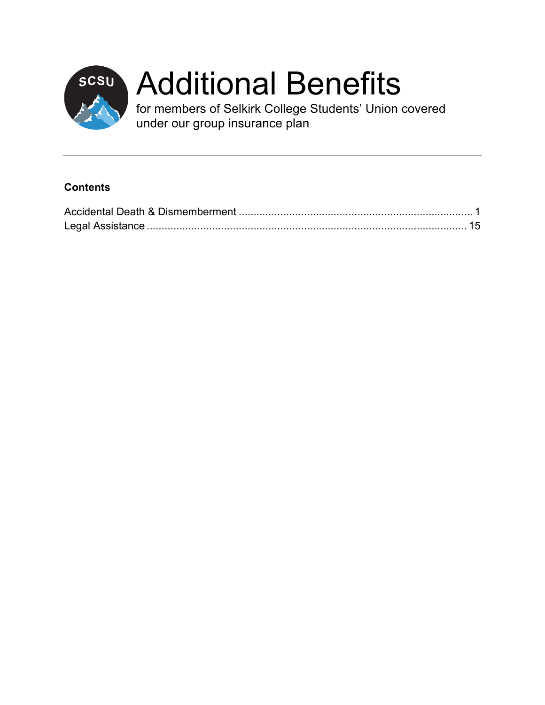

# scsu Additional Benefits

for members of Selkirk College Students' Union covered under our group insurance plan

#### **Contents**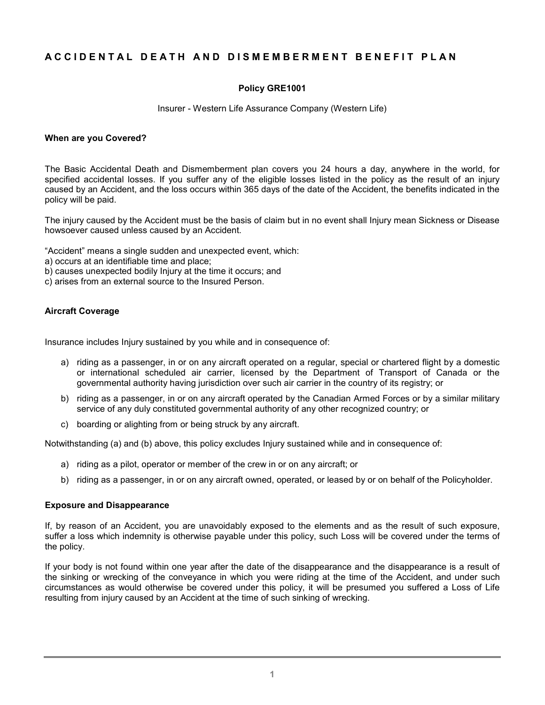#### **ACCIDENTAL DEATH AND DISMEMBERMENT BEN EFIT PLAN**

#### **Policy GRE1001**

Insurer - Western Life Assurance Company (Western Life)

#### **When are you Covered?**

The Basic Accidental Death and Dismemberment plan covers you 24 hours a day, anywhere in the world, for specified accidental losses. If you suffer any of the eligible losses listed in the policy as the result of an injury caused by an Accident, and the loss occurs within 365 days of the date of the Accident, the benefits indicated in the policy will be paid.

The injury caused by the Accident must be the basis of claim but in no event shall Injury mean Sickness or Disease howsoever caused unless caused by an Accident.

"Accident" means a single sudden and unexpected event, which:

- a) occurs at an identifiable time and place;
- b) causes unexpected bodily Injury at the time it occurs; and
- c) arises from an external source to the Insured Person.

#### **Aircraft Coverage**

Insurance includes Injury sustained by you while and in consequence of:

- a) riding as a passenger, in or on any aircraft operated on a regular, special or chartered flight by a domestic or international scheduled air carrier, licensed by the Department of Transport of Canada or the governmental authority having jurisdiction over such air carrier in the country of its registry; or
- b) riding as a passenger, in or on any aircraft operated by the Canadian Armed Forces or by a similar military service of any duly constituted governmental authority of any other recognized country; or
- c) boarding or alighting from or being struck by any aircraft.

Notwithstanding (a) and (b) above, this policy excludes Injury sustained while and in consequence of:

- a) riding as a pilot, operator or member of the crew in or on any aircraft; or
- b) riding as a passenger, in or on any aircraft owned, operated, or leased by or on behalf of the Policyholder.

#### **Exposure and Disappearance**

If, by reason of an Accident, you are unavoidably exposed to the elements and as the result of such exposure, suffer a loss which indemnity is otherwise payable under this policy, such Loss will be covered under the terms of the policy.

If your body is not found within one year after the date of the disappearance and the disappearance is a result of the sinking or wrecking of the conveyance in which you were riding at the time of the Accident, and under such circumstances as would otherwise be covered under this policy, it will be presumed you suffered a Loss of Life resulting from injury caused by an Accident at the time of such sinking of wrecking.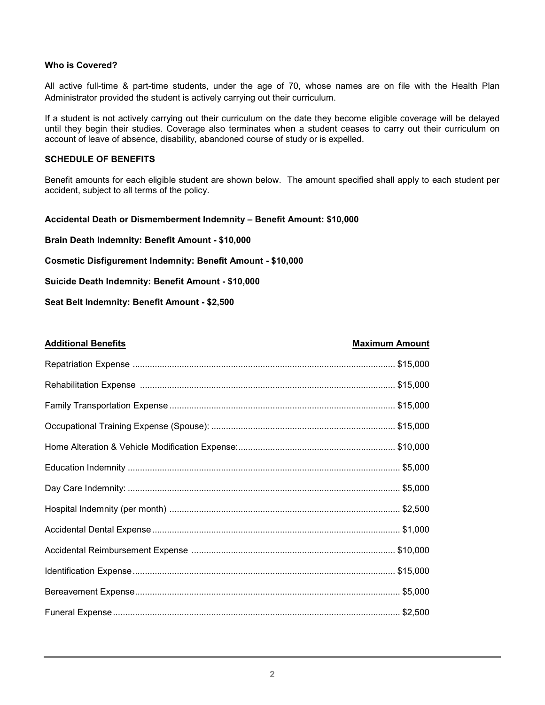#### **Who is Covered?**

All active full-time & part-time students, under the age of 70, whose names are on file with the Health Plan Administrator provided the student is actively carrying out their curriculum.

If a student is not actively carrying out their curriculum on the date they become eligible coverage will be delayed until they begin their studies. Coverage also terminates when a student ceases to carry out their curriculum on account of leave of absence, disability, abandoned course of study or is expelled.

#### **SCHEDULE OF BENEFITS**

Benefit amounts for each eligible student are shown below. The amount specified shall apply to each student per accident, subject to all terms of the policy.

#### **Accidental Death or Dismemberment Indemnity – Benefit Amount: \$10,000**

**Brain Death Indemnity: Benefit Amount - \$10,000**

**Cosmetic Disfigurement Indemnity: Benefit Amount - \$10,000**

**Suicide Death Indemnity: Benefit Amount - \$10,000**

**Seat Belt Indemnity: Benefit Amount - \$2,500**

#### **Additional Benefits Maximum Amount**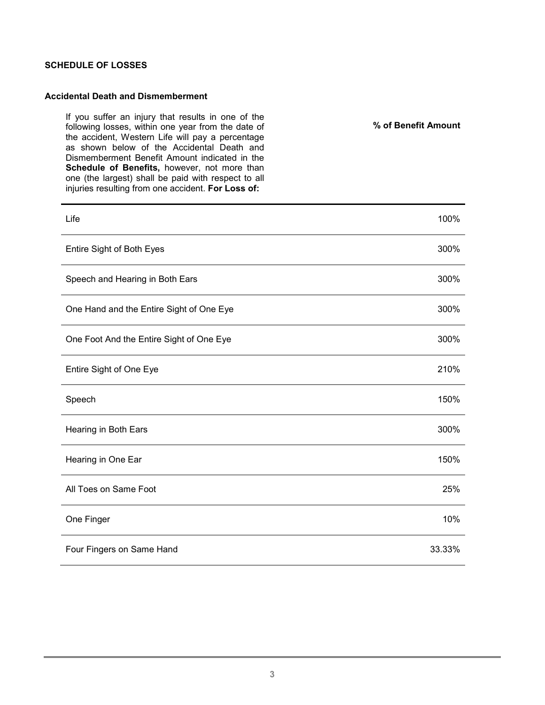#### **SCHEDULE OF LOSSES**

#### **Accidental Death and Dismemberment**

If you suffer an injury that results in one of the following losses, within one year from the date of the accident, Western Life will pay a percentage as shown below of the Accidental Death and Dismemberment Benefit Amount indicated in the **Schedule of Benefits,** however, not more than one (the largest) shall be paid with respect to all injuries resulting from one accident. **For Loss of:**

**% of Benefit Amount**

| Life                                     | 100%   |
|------------------------------------------|--------|
| Entire Sight of Both Eyes                | 300%   |
| Speech and Hearing in Both Ears          | 300%   |
| One Hand and the Entire Sight of One Eye | 300%   |
| One Foot And the Entire Sight of One Eye | 300%   |
| Entire Sight of One Eye                  | 210%   |
| Speech                                   | 150%   |
| Hearing in Both Ears                     | 300%   |
| Hearing in One Ear                       | 150%   |
| All Toes on Same Foot                    | 25%    |
| One Finger                               | 10%    |
| Four Fingers on Same Hand                | 33.33% |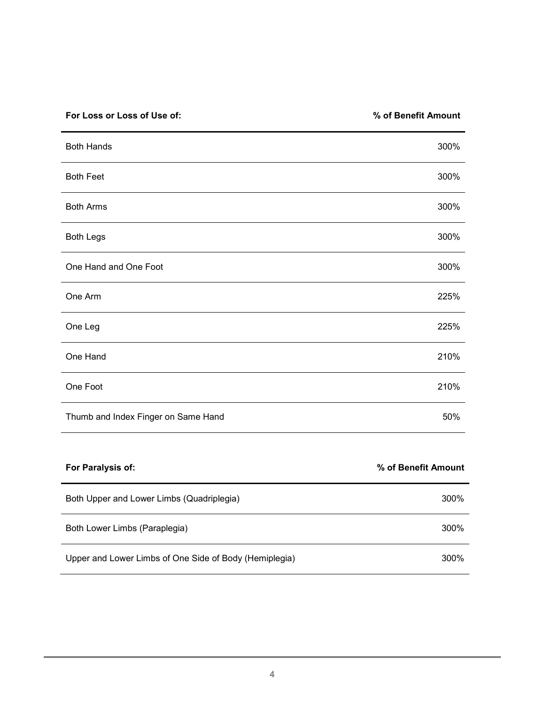| For Loss or Loss of Use of:         | % of Benefit Amount |
|-------------------------------------|---------------------|
| <b>Both Hands</b>                   | 300%                |
| <b>Both Feet</b>                    | 300%                |
| <b>Both Arms</b>                    | 300%                |
| <b>Both Legs</b>                    | 300%                |
| One Hand and One Foot               | 300%                |
| One Arm                             | 225%                |
| One Leg                             | 225%                |
| One Hand                            | 210%                |
| One Foot                            | 210%                |
| Thumb and Index Finger on Same Hand | 50%                 |
|                                     |                     |

| For Paralysis of:                                      | % of Benefit Amount |
|--------------------------------------------------------|---------------------|
| Both Upper and Lower Limbs (Quadriplegia)              | 300%                |
| Both Lower Limbs (Paraplegia)                          | 300%                |
| Upper and Lower Limbs of One Side of Body (Hemiplegia) | 300%                |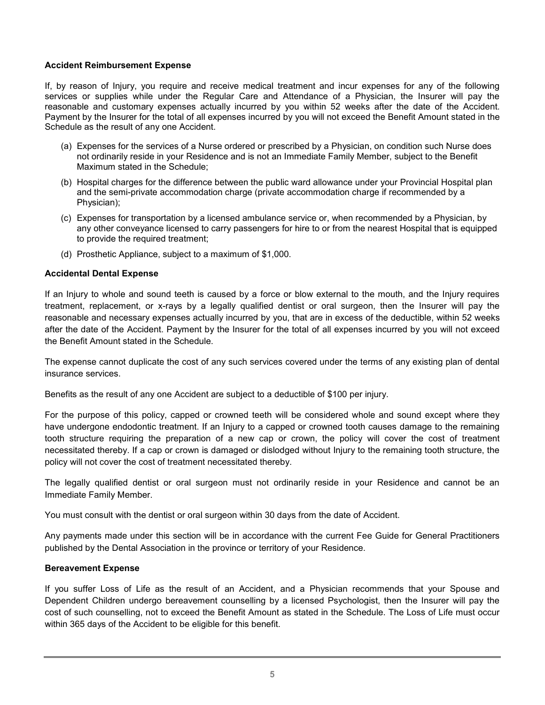#### **Accident Reimbursement Expense**

If, by reason of Injury, you require and receive medical treatment and incur expenses for any of the following services or supplies while under the Regular Care and Attendance of a Physician, the Insurer will pay the reasonable and customary expenses actually incurred by you within 52 weeks after the date of the Accident. Payment by the Insurer for the total of all expenses incurred by you will not exceed the Benefit Amount stated in the Schedule as the result of any one Accident.

- (a) Expenses for the services of a Nurse ordered or prescribed by a Physician, on condition such Nurse does not ordinarily reside in your Residence and is not an Immediate Family Member, subject to the Benefit Maximum stated in the Schedule;
- (b) Hospital charges for the difference between the public ward allowance under your Provincial Hospital plan and the semi-private accommodation charge (private accommodation charge if recommended by a Physician);
- (c) Expenses for transportation by a licensed ambulance service or, when recommended by a Physician, by any other conveyance licensed to carry passengers for hire to or from the nearest Hospital that is equipped to provide the required treatment;
- (d) Prosthetic Appliance, subject to a maximum of \$1,000.

#### **Accidental Dental Expense**

If an Injury to whole and sound teeth is caused by a force or blow external to the mouth, and the Injury requires treatment, replacement, or x-rays by a legally qualified dentist or oral surgeon, then the Insurer will pay the reasonable and necessary expenses actually incurred by you, that are in excess of the deductible, within 52 weeks after the date of the Accident. Payment by the Insurer for the total of all expenses incurred by you will not exceed the Benefit Amount stated in the Schedule.

The expense cannot duplicate the cost of any such services covered under the terms of any existing plan of dental insurance services.

Benefits as the result of any one Accident are subject to a deductible of \$100 per injury.

For the purpose of this policy, capped or crowned teeth will be considered whole and sound except where they have undergone endodontic treatment. If an Injury to a capped or crowned tooth causes damage to the remaining tooth structure requiring the preparation of a new cap or crown, the policy will cover the cost of treatment necessitated thereby. If a cap or crown is damaged or dislodged without Injury to the remaining tooth structure, the policy will not cover the cost of treatment necessitated thereby.

The legally qualified dentist or oral surgeon must not ordinarily reside in your Residence and cannot be an Immediate Family Member.

You must consult with the dentist or oral surgeon within 30 days from the date of Accident.

Any payments made under this section will be in accordance with the current Fee Guide for General Practitioners published by the Dental Association in the province or territory of your Residence.

#### **Bereavement Expense**

If you suffer Loss of Life as the result of an Accident, and a Physician recommends that your Spouse and Dependent Children undergo bereavement counselling by a licensed Psychologist, then the Insurer will pay the cost of such counselling, not to exceed the Benefit Amount as stated in the Schedule. The Loss of Life must occur within 365 days of the Accident to be eligible for this benefit.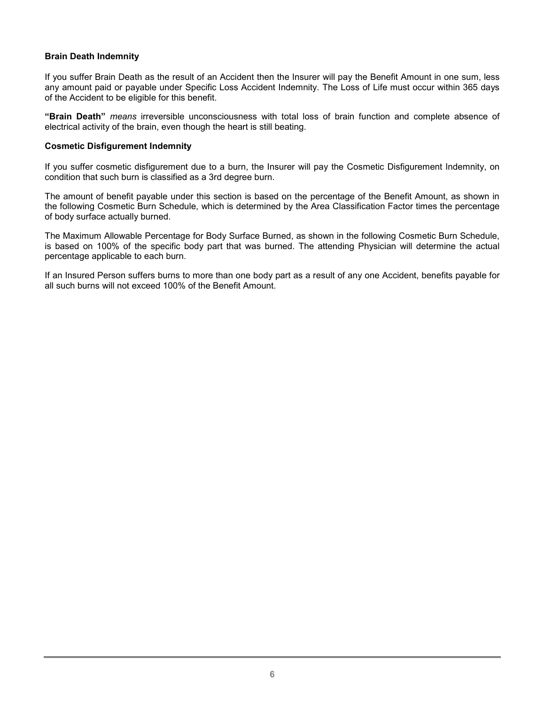#### **Brain Death Indemnity**

If you suffer Brain Death as the result of an Accident then the Insurer will pay the Benefit Amount in one sum, less any amount paid or payable under Specific Loss Accident Indemnity. The Loss of Life must occur within 365 days of the Accident to be eligible for this benefit.

**"Brain Death"** *means* irreversible unconsciousness with total loss of brain function and complete absence of electrical activity of the brain, even though the heart is still beating.

#### **Cosmetic Disfigurement Indemnity**

If you suffer cosmetic disfigurement due to a burn, the Insurer will pay the Cosmetic Disfigurement Indemnity, on condition that such burn is classified as a 3rd degree burn.

The amount of benefit payable under this section is based on the percentage of the Benefit Amount, as shown in the following Cosmetic Burn Schedule, which is determined by the Area Classification Factor times the percentage of body surface actually burned.

The Maximum Allowable Percentage for Body Surface Burned, as shown in the following Cosmetic Burn Schedule, is based on 100% of the specific body part that was burned. The attending Physician will determine the actual percentage applicable to each burn.

If an Insured Person suffers burns to more than one body part as a result of any one Accident, benefits payable for all such burns will not exceed 100% of the Benefit Amount.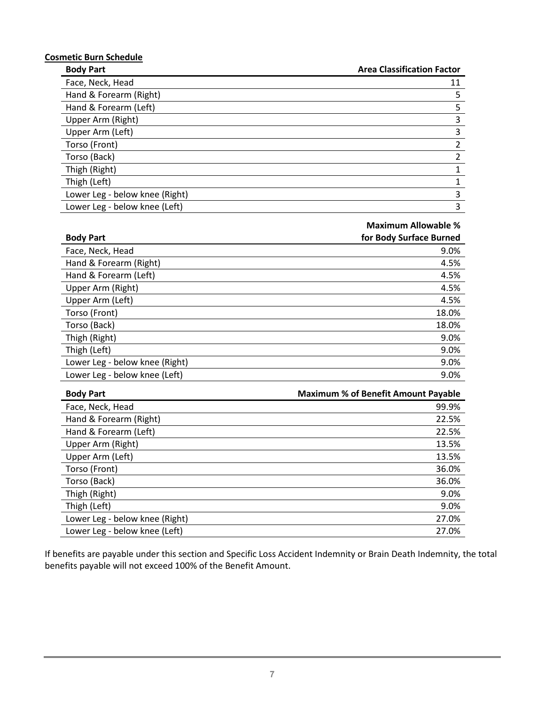## **Cosmetic Burn Schedule**

**Body Part Area Classification Factor**

| ------                         |    |
|--------------------------------|----|
| Face, Neck, Head               | 11 |
| Hand & Forearm (Right)         | 5  |
| Hand & Forearm (Left)          | 5  |
| Upper Arm (Right)              | 3  |
| Upper Arm (Left)               | 3  |
| Torso (Front)                  | 2  |
| Torso (Back)                   |    |
| Thigh (Right)                  |    |
| Thigh (Left)                   |    |
| Lower Leg - below knee (Right) | 3  |
| Lower Leg - below knee (Left)  | 3  |

#### **Maximum Allowable %**

| <b>Body Part</b>               | for Body Surface Burned |
|--------------------------------|-------------------------|
| Face, Neck, Head               | 9.0%                    |
| Hand & Forearm (Right)         | 4.5%                    |
| Hand & Forearm (Left)          | 4.5%                    |
| Upper Arm (Right)              | 4.5%                    |
| Upper Arm (Left)               | 4.5%                    |
| Torso (Front)                  | 18.0%                   |
| Torso (Back)                   | 18.0%                   |
| Thigh (Right)                  | 9.0%                    |
| Thigh (Left)                   | 9.0%                    |
| Lower Leg - below knee (Right) | 9.0%                    |
| Lower Leg - below knee (Left)  | 9.0%                    |

| <b>Body Part</b>               | <b>Maximum % of Benefit Amount Payable</b> |
|--------------------------------|--------------------------------------------|
| Face, Neck, Head               | 99.9%                                      |
| Hand & Forearm (Right)         | 22.5%                                      |
| Hand & Forearm (Left)          | 22.5%                                      |
| Upper Arm (Right)              | 13.5%                                      |
| Upper Arm (Left)               | 13.5%                                      |
| Torso (Front)                  | 36.0%                                      |
| Torso (Back)                   | 36.0%                                      |
| Thigh (Right)                  | 9.0%                                       |
| Thigh (Left)                   | 9.0%                                       |
| Lower Leg - below knee (Right) | 27.0%                                      |
| Lower Leg - below knee (Left)  | 27.0%                                      |

If benefits are payable under this section and Specific Loss Accident Indemnity or Brain Death Indemnity, the total benefits payable will not exceed 100% of the Benefit Amount.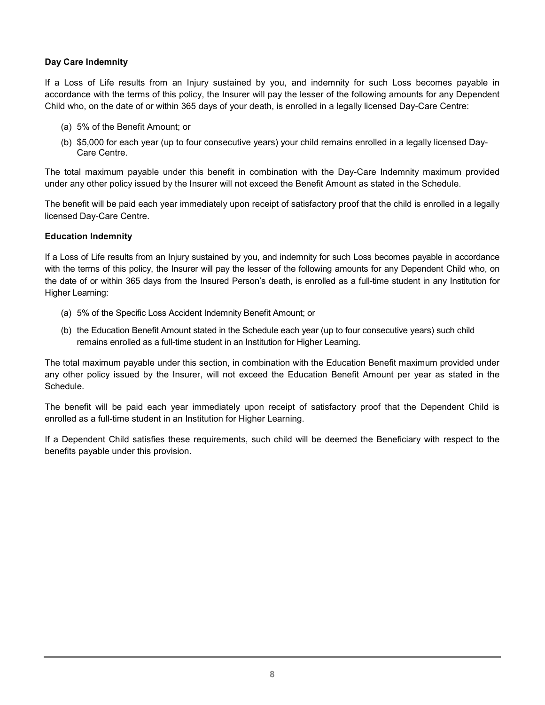#### **Day Care Indemnity**

If a Loss of Life results from an Injury sustained by you, and indemnity for such Loss becomes payable in accordance with the terms of this policy, the Insurer will pay the lesser of the following amounts for any Dependent Child who, on the date of or within 365 days of your death, is enrolled in a legally licensed Day-Care Centre:

- (a) 5% of the Benefit Amount; or
- (b) \$5,000 for each year (up to four consecutive years) your child remains enrolled in a legally licensed Day-Care Centre.

The total maximum payable under this benefit in combination with the Day-Care Indemnity maximum provided under any other policy issued by the Insurer will not exceed the Benefit Amount as stated in the Schedule.

The benefit will be paid each year immediately upon receipt of satisfactory proof that the child is enrolled in a legally licensed Day-Care Centre.

#### **Education Indemnity**

If a Loss of Life results from an Injury sustained by you, and indemnity for such Loss becomes payable in accordance with the terms of this policy, the Insurer will pay the lesser of the following amounts for any Dependent Child who, on the date of or within 365 days from the Insured Person's death, is enrolled as a full-time student in any Institution for Higher Learning:

- (a) 5% of the Specific Loss Accident Indemnity Benefit Amount; or
- (b) the Education Benefit Amount stated in the Schedule each year (up to four consecutive years) such child remains enrolled as a full-time student in an Institution for Higher Learning.

The total maximum payable under this section, in combination with the Education Benefit maximum provided under any other policy issued by the Insurer, will not exceed the Education Benefit Amount per year as stated in the Schedule.

The benefit will be paid each year immediately upon receipt of satisfactory proof that the Dependent Child is enrolled as a full-time student in an Institution for Higher Learning.

If a Dependent Child satisfies these requirements, such child will be deemed the Beneficiary with respect to the benefits payable under this provision.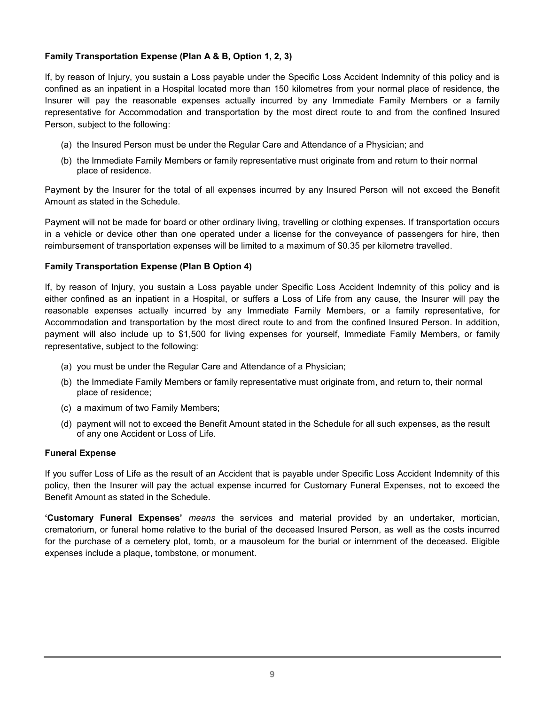#### **Family Transportation Expense (Plan A & B, Option 1, 2, 3)**

If, by reason of Injury, you sustain a Loss payable under the Specific Loss Accident Indemnity of this policy and is confined as an inpatient in a Hospital located more than 150 kilometres from your normal place of residence, the Insurer will pay the reasonable expenses actually incurred by any Immediate Family Members or a family representative for Accommodation and transportation by the most direct route to and from the confined Insured Person, subject to the following:

- (a) the Insured Person must be under the Regular Care and Attendance of a Physician; and
- (b) the Immediate Family Members or family representative must originate from and return to their normal place of residence.

Payment by the Insurer for the total of all expenses incurred by any Insured Person will not exceed the Benefit Amount as stated in the Schedule.

Payment will not be made for board or other ordinary living, travelling or clothing expenses. If transportation occurs in a vehicle or device other than one operated under a license for the conveyance of passengers for hire, then reimbursement of transportation expenses will be limited to a maximum of \$0.35 per kilometre travelled.

#### **Family Transportation Expense (Plan B Option 4)**

If, by reason of Injury, you sustain a Loss payable under Specific Loss Accident Indemnity of this policy and is either confined as an inpatient in a Hospital, or suffers a Loss of Life from any cause, the Insurer will pay the reasonable expenses actually incurred by any Immediate Family Members, or a family representative, for Accommodation and transportation by the most direct route to and from the confined Insured Person. In addition, payment will also include up to \$1,500 for living expenses for yourself, Immediate Family Members, or family representative, subject to the following:

- (a) you must be under the Regular Care and Attendance of a Physician;
- (b) the Immediate Family Members or family representative must originate from, and return to, their normal place of residence;
- (c) a maximum of two Family Members;
- (d) payment will not to exceed the Benefit Amount stated in the Schedule for all such expenses, as the result of any one Accident or Loss of Life.

#### **Funeral Expense**

If you suffer Loss of Life as the result of an Accident that is payable under Specific Loss Accident Indemnity of this policy, then the Insurer will pay the actual expense incurred for Customary Funeral Expenses, not to exceed the Benefit Amount as stated in the Schedule.

**'Customary Funeral Expenses'** *means* the services and material provided by an undertaker, mortician, crematorium, or funeral home relative to the burial of the deceased Insured Person, as well as the costs incurred for the purchase of a cemetery plot, tomb, or a mausoleum for the burial or internment of the deceased. Eligible expenses include a plaque, tombstone, or monument.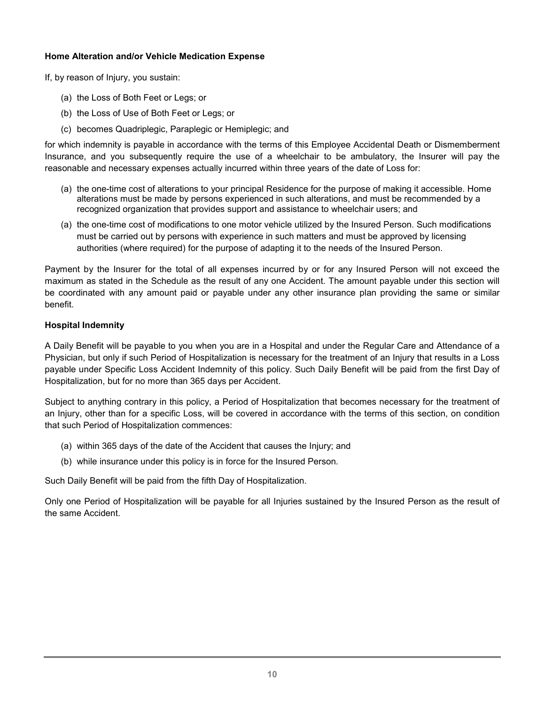#### **Home Alteration and/or Vehicle Medication Expense**

If, by reason of Injury, you sustain:

- (a) the Loss of Both Feet or Legs; or
- (b) the Loss of Use of Both Feet or Legs; or
- (c) becomes Quadriplegic, Paraplegic or Hemiplegic; and

for which indemnity is payable in accordance with the terms of this Employee Accidental Death or Dismemberment Insurance, and you subsequently require the use of a wheelchair to be ambulatory, the Insurer will pay the reasonable and necessary expenses actually incurred within three years of the date of Loss for:

- (a) the one-time cost of alterations to your principal Residence for the purpose of making it accessible. Home alterations must be made by persons experienced in such alterations, and must be recommended by a recognized organization that provides support and assistance to wheelchair users; and
- (a) the one-time cost of modifications to one motor vehicle utilized by the Insured Person. Such modifications must be carried out by persons with experience in such matters and must be approved by licensing authorities (where required) for the purpose of adapting it to the needs of the Insured Person.

Payment by the Insurer for the total of all expenses incurred by or for any Insured Person will not exceed the maximum as stated in the Schedule as the result of any one Accident. The amount payable under this section will be coordinated with any amount paid or payable under any other insurance plan providing the same or similar benefit.

#### **Hospital Indemnity**

A Daily Benefit will be payable to you when you are in a Hospital and under the Regular Care and Attendance of a Physician, but only if such Period of Hospitalization is necessary for the treatment of an Injury that results in a Loss payable under Specific Loss Accident Indemnity of this policy. Such Daily Benefit will be paid from the first Day of Hospitalization, but for no more than 365 days per Accident.

Subject to anything contrary in this policy, a Period of Hospitalization that becomes necessary for the treatment of an Injury, other than for a specific Loss, will be covered in accordance with the terms of this section, on condition that such Period of Hospitalization commences:

- (a) within 365 days of the date of the Accident that causes the Injury; and
- (b) while insurance under this policy is in force for the Insured Person.

Such Daily Benefit will be paid from the fifth Day of Hospitalization.

Only one Period of Hospitalization will be payable for all Injuries sustained by the Insured Person as the result of the same Accident.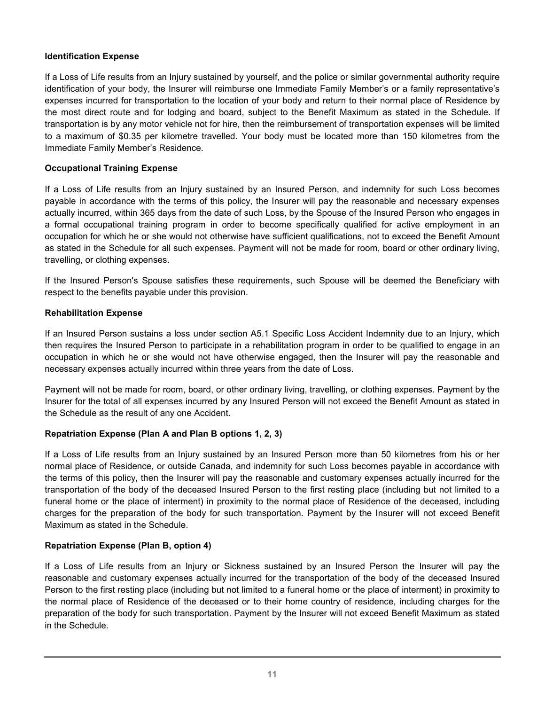#### **Identification Expense**

If a Loss of Life results from an Injury sustained by yourself, and the police or similar governmental authority require identification of your body, the Insurer will reimburse one Immediate Family Member's or a family representative's expenses incurred for transportation to the location of your body and return to their normal place of Residence by the most direct route and for lodging and board, subject to the Benefit Maximum as stated in the Schedule. If transportation is by any motor vehicle not for hire, then the reimbursement of transportation expenses will be limited to a maximum of \$0.35 per kilometre travelled. Your body must be located more than 150 kilometres from the Immediate Family Member's Residence.

#### **Occupational Training Expense**

If a Loss of Life results from an Injury sustained by an Insured Person, and indemnity for such Loss becomes payable in accordance with the terms of this policy, the Insurer will pay the reasonable and necessary expenses actually incurred, within 365 days from the date of such Loss, by the Spouse of the Insured Person who engages in a formal occupational training program in order to become specifically qualified for active employment in an occupation for which he or she would not otherwise have sufficient qualifications, not to exceed the Benefit Amount as stated in the Schedule for all such expenses. Payment will not be made for room, board or other ordinary living, travelling, or clothing expenses.

If the Insured Person's Spouse satisfies these requirements, such Spouse will be deemed the Beneficiary with respect to the benefits payable under this provision.

#### **Rehabilitation Expense**

If an Insured Person sustains a loss under section A5.1 Specific Loss Accident Indemnity due to an Injury, which then requires the Insured Person to participate in a rehabilitation program in order to be qualified to engage in an occupation in which he or she would not have otherwise engaged, then the Insurer will pay the reasonable and necessary expenses actually incurred within three years from the date of Loss.

Payment will not be made for room, board, or other ordinary living, travelling, or clothing expenses. Payment by the Insurer for the total of all expenses incurred by any Insured Person will not exceed the Benefit Amount as stated in the Schedule as the result of any one Accident.

#### **Repatriation Expense (Plan A and Plan B options 1, 2, 3)**

If a Loss of Life results from an Injury sustained by an Insured Person more than 50 kilometres from his or her normal place of Residence, or outside Canada, and indemnity for such Loss becomes payable in accordance with the terms of this policy, then the Insurer will pay the reasonable and customary expenses actually incurred for the transportation of the body of the deceased Insured Person to the first resting place (including but not limited to a funeral home or the place of interment) in proximity to the normal place of Residence of the deceased, including charges for the preparation of the body for such transportation. Payment by the Insurer will not exceed Benefit Maximum as stated in the Schedule.

#### **Repatriation Expense (Plan B, option 4)**

If a Loss of Life results from an Injury or Sickness sustained by an Insured Person the Insurer will pay the reasonable and customary expenses actually incurred for the transportation of the body of the deceased Insured Person to the first resting place (including but not limited to a funeral home or the place of interment) in proximity to the normal place of Residence of the deceased or to their home country of residence, including charges for the preparation of the body for such transportation. Payment by the Insurer will not exceed Benefit Maximum as stated in the Schedule.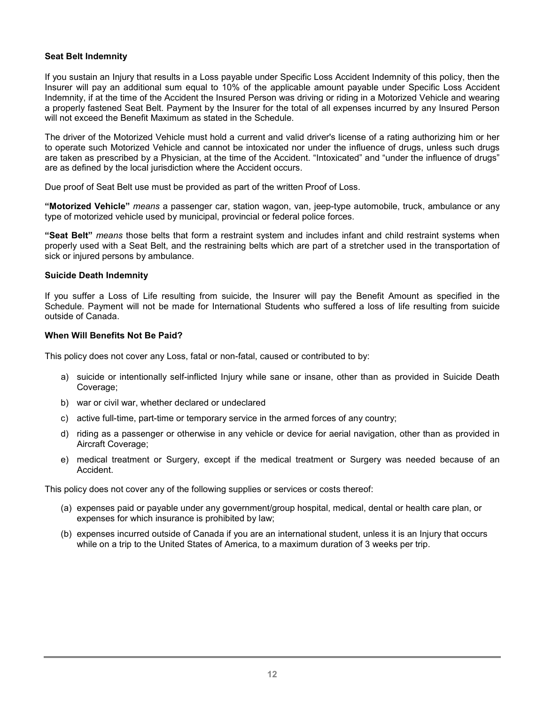#### **Seat Belt Indemnity**

If you sustain an Injury that results in a Loss payable under Specific Loss Accident Indemnity of this policy, then the Insurer will pay an additional sum equal to 10% of the applicable amount payable under Specific Loss Accident Indemnity, if at the time of the Accident the Insured Person was driving or riding in a Motorized Vehicle and wearing a properly fastened Seat Belt. Payment by the Insurer for the total of all expenses incurred by any Insured Person will not exceed the Benefit Maximum as stated in the Schedule.

The driver of the Motorized Vehicle must hold a current and valid driver's license of a rating authorizing him or her to operate such Motorized Vehicle and cannot be intoxicated nor under the influence of drugs, unless such drugs are taken as prescribed by a Physician, at the time of the Accident. "Intoxicated" and "under the influence of drugs" are as defined by the local jurisdiction where the Accident occurs.

Due proof of Seat Belt use must be provided as part of the written Proof of Loss.

**"Motorized Vehicle"** *means* a passenger car, station wagon, van, jeep-type automobile, truck, ambulance or any type of motorized vehicle used by municipal, provincial or federal police forces.

**"Seat Belt"** *means* those belts that form a restraint system and includes infant and child restraint systems when properly used with a Seat Belt, and the restraining belts which are part of a stretcher used in the transportation of sick or injured persons by ambulance.

#### **Suicide Death Indemnity**

If you suffer a Loss of Life resulting from suicide, the Insurer will pay the Benefit Amount as specified in the Schedule. Payment will not be made for International Students who suffered a loss of life resulting from suicide outside of Canada.

#### **When Will Benefits Not Be Paid?**

This policy does not cover any Loss, fatal or non-fatal, caused or contributed to by:

- a) suicide or intentionally self-inflicted Injury while sane or insane, other than as provided in Suicide Death Coverage;
- b) war or civil war, whether declared or undeclared
- c) active full-time, part-time or temporary service in the armed forces of any country;
- d) riding as a passenger or otherwise in any vehicle or device for aerial navigation, other than as provided in Aircraft Coverage;
- e) medical treatment or Surgery, except if the medical treatment or Surgery was needed because of an Accident.

This policy does not cover any of the following supplies or services or costs thereof:

- (a) expenses paid or payable under any government/group hospital, medical, dental or health care plan, or expenses for which insurance is prohibited by law;
- (b) expenses incurred outside of Canada if you are an international student, unless it is an Injury that occurs while on a trip to the United States of America, to a maximum duration of 3 weeks per trip.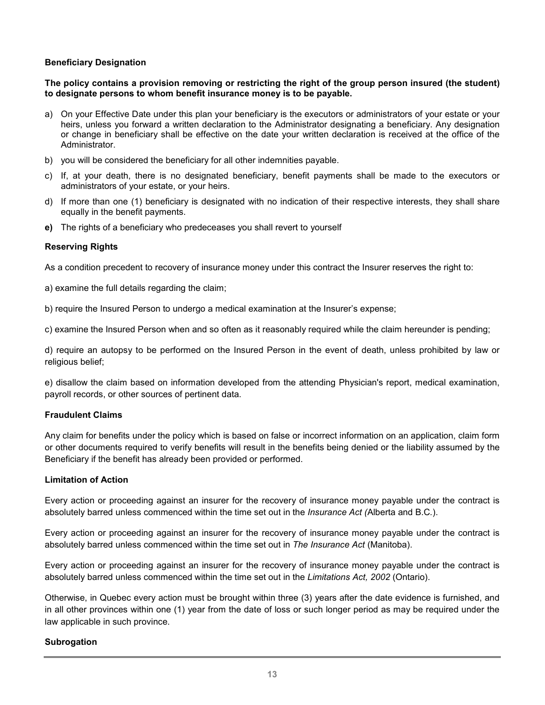#### **Beneficiary Designation**

**The policy contains a provision removing or restricting the right of the group person insured (the student) to designate persons to whom benefit insurance money is to be payable.**

- a) On your Effective Date under this plan your beneficiary is the executors or administrators of your estate or your heirs, unless you forward a written declaration to the Administrator designating a beneficiary. Any designation or change in beneficiary shall be effective on the date your written declaration is received at the office of the Administrator.
- b) you will be considered the beneficiary for all other indemnities payable.
- c) If, at your death, there is no designated beneficiary, benefit payments shall be made to the executors or administrators of your estate, or your heirs.
- d) If more than one (1) beneficiary is designated with no indication of their respective interests, they shall share equally in the benefit payments.
- **e)** The rights of a beneficiary who predeceases you shall revert to yourself

#### **Reserving Rights**

As a condition precedent to recovery of insurance money under this contract the Insurer reserves the right to:

a) examine the full details regarding the claim;

b) require the Insured Person to undergo a medical examination at the Insurer's expense;

c) examine the Insured Person when and so often as it reasonably required while the claim hereunder is pending;

d) require an autopsy to be performed on the Insured Person in the event of death, unless prohibited by law or religious belief;

e) disallow the claim based on information developed from the attending Physician's report, medical examination, payroll records, or other sources of pertinent data.

#### **Fraudulent Claims**

Any claim for benefits under the policy which is based on false or incorrect information on an application, claim form or other documents required to verify benefits will result in the benefits being denied or the liability assumed by the Beneficiary if the benefit has already been provided or performed.

#### **Limitation of Action**

Every action or proceeding against an insurer for the recovery of insurance money payable under the contract is absolutely barred unless commenced within the time set out in the *Insurance Act (*Alberta and B.C*.*).

Every action or proceeding against an insurer for the recovery of insurance money payable under the contract is absolutely barred unless commenced within the time set out in *The Insurance Act* (Manitoba).

Every action or proceeding against an insurer for the recovery of insurance money payable under the contract is absolutely barred unless commenced within the time set out in the *Limitations Act, 2002* (Ontario).

Otherwise, in Quebec every action must be brought within three (3) years after the date evidence is furnished, and in all other provinces within one (1) year from the date of loss or such longer period as may be required under the law applicable in such province.

#### **Subrogation**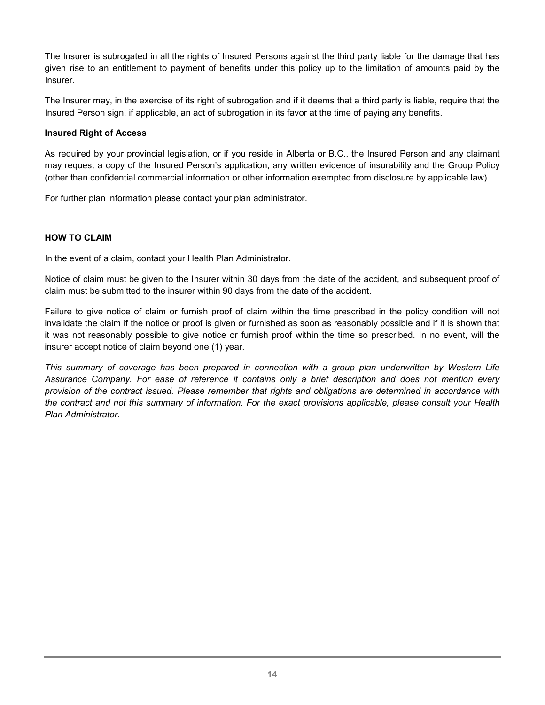The Insurer is subrogated in all the rights of Insured Persons against the third party liable for the damage that has given rise to an entitlement to payment of benefits under this policy up to the limitation of amounts paid by the Insurer.

The Insurer may, in the exercise of its right of subrogation and if it deems that a third party is liable, require that the Insured Person sign, if applicable, an act of subrogation in its favor at the time of paying any benefits.

#### **Insured Right of Access**

As required by your provincial legislation, or if you reside in Alberta or B.C., the Insured Person and any claimant may request a copy of the Insured Person's application, any written evidence of insurability and the Group Policy (other than confidential commercial information or other information exempted from disclosure by applicable law).

For further plan information please contact your plan administrator.

#### **HOW TO CLAIM**

In the event of a claim, contact your Health Plan Administrator.

Notice of claim must be given to the Insurer within 30 days from the date of the accident, and subsequent proof of claim must be submitted to the insurer within 90 days from the date of the accident.

Failure to give notice of claim or furnish proof of claim within the time prescribed in the policy condition will not invalidate the claim if the notice or proof is given or furnished as soon as reasonably possible and if it is shown that it was not reasonably possible to give notice or furnish proof within the time so prescribed. In no event, will the insurer accept notice of claim beyond one (1) year.

*This summary of coverage has been prepared in connection with a group plan underwritten by Western Life Assurance Company. For ease of reference it contains only a brief description and does not mention every provision of the contract issued. Please remember that rights and obligations are determined in accordance with the contract and not this summary of information. For the exact provisions applicable, please consult your Health Plan Administrator.*